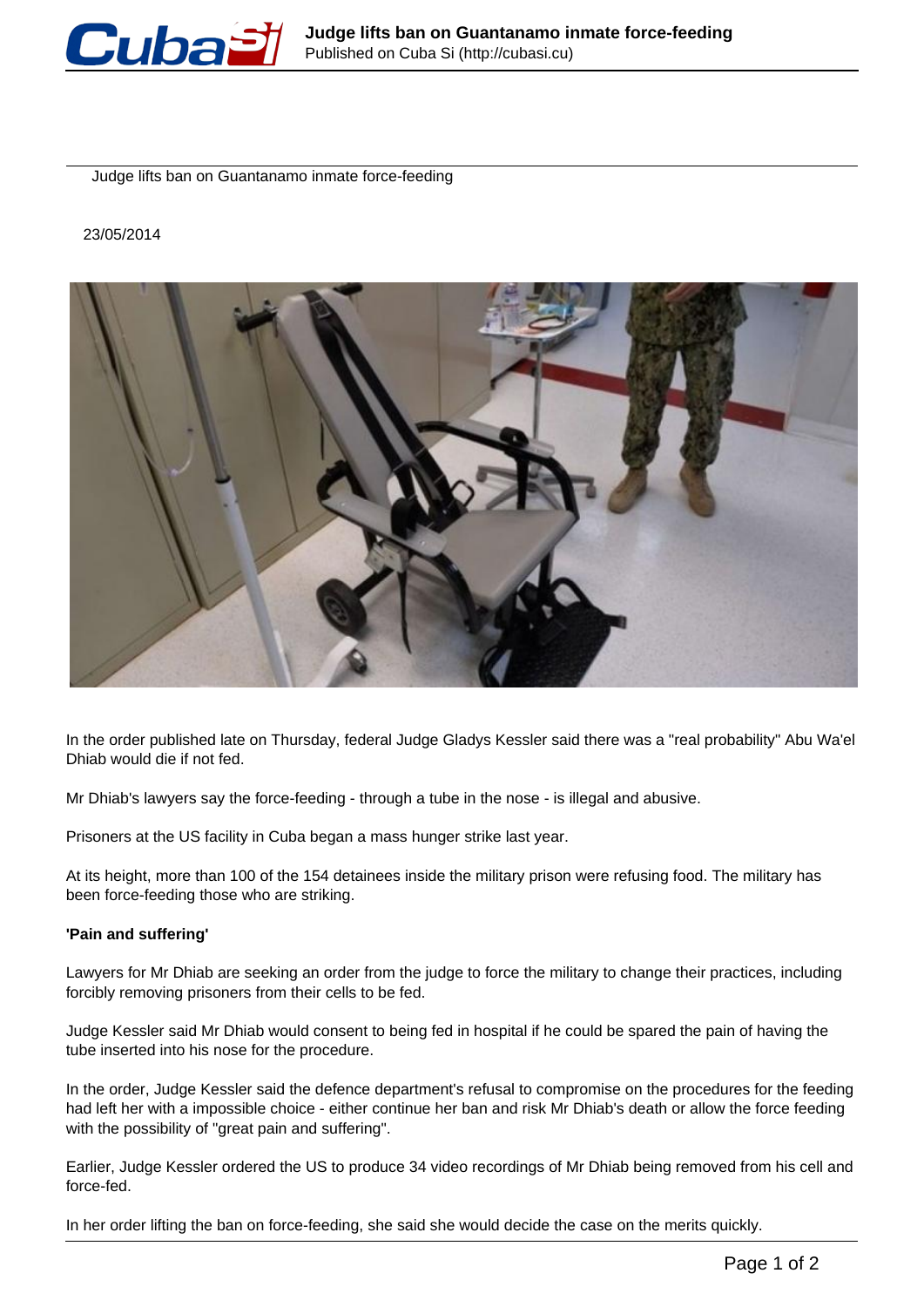

Judge lifts ban on Guantanamo inmate force-feeding

## 23/05/2014



In the order published late on Thursday, federal Judge Gladys Kessler said there was a "real probability" Abu Wa'el Dhiab would die if not fed.

Mr Dhiab's lawyers say the force-feeding - through a tube in the nose - is illegal and abusive.

Prisoners at the US facility in Cuba began a mass hunger strike last year.

At its height, more than 100 of the 154 detainees inside the military prison were refusing food. The military has been force-feeding those who are striking.

## **'Pain and suffering'**

Lawyers for Mr Dhiab are seeking an order from the judge to force the military to change their practices, including forcibly removing prisoners from their cells to be fed.

Judge Kessler said Mr Dhiab would consent to being fed in hospital if he could be spared the pain of having the tube inserted into his nose for the procedure.

In the order, Judge Kessler said the defence department's refusal to compromise on the procedures for the feeding had left her with a impossible choice - either continue her ban and risk Mr Dhiab's death or allow the force feeding with the possibility of "great pain and suffering".

Earlier, Judge Kessler ordered the US to produce 34 video recordings of Mr Dhiab being removed from his cell and force-fed.

In her order lifting the ban on force-feeding, she said she would decide the case on the merits quickly.